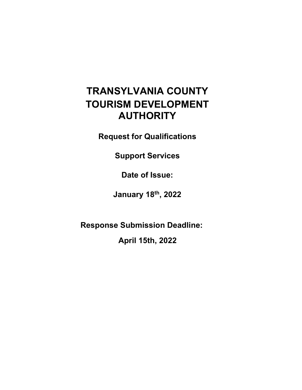# **TRANSYLVANIA COUNTY TOURISM DEVELOPMENT AUTHORITY**

**Request for Qualifications**

**Support Services**

**Date of Issue:**

**January 18th, 2022**

**Response Submission Deadline:** 

**April 15th, 2022**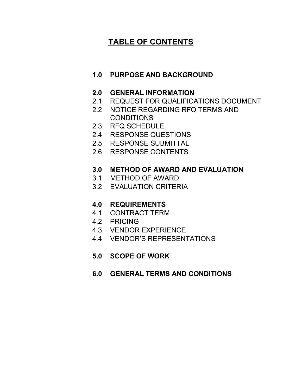## **TABLE OF CONTENTS**

## **1.0 PURPOSE AND BACKGROUND**

- **2.0 GENERAL INFORMATION**
- 2.1 REQUEST FOR QUALIFICATIONS DOCUMENT
- 2.2 NOTICE REGARDING RFQ TERMS AND CONDITIONS
- 2.3 RFQ SCHEDULE
- 2.4 RESPONSE QUESTIONS
- 2.5 RESPONSE SUBMITTAL
- 2.6 RESPONSE CONTENTS

## **3.0 METHOD OF AWARD AND EVALUATION**

- 3.1 METHOD OF AWARD
- 3.2 EVALUATION CRITERIA

## **4.0 REQUIREMENTS**

- 4.1 CONTRACT TERM
- 4.2 PRICING
- 4.3 VENDOR EXPERIENCE
- 4.4 VENDOR'S REPRESENTATIONS
- **5.0 SCOPE OF WORK**
- **6.0 GENERAL TERMS AND CONDITIONS**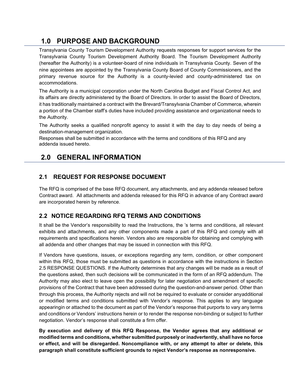## **1.0 PURPOSE AND BACKGROUND**

Transylvania County Tourism Development Authority requests responses for support services for the Transylvania County Tourism Development Authority Board. The Tourism Development Authority (hereafter the Authority) is a volunteer-board of nine individuals in Transylvania County. Seven of the nine appointees are appointed by the Transylvania County Board of County Commissioners, and the primary revenue source for the Authority is a county-levied and county-administered tax on accommodations.

The Authority is a municipal corporation under the North Carolina Budget and Fiscal Control Act, and its affairs are directly administered by the Board of Directors. In order to assist the Board of Directors, it has traditionally maintained a contract with the Brevard/Transylvania Chamber of Commerce, wherein a portion of the Chamber staff's duties have included providing assistance and organizational needs to the Authority.

The Authority seeks a qualified nonprofit agency to assist it with the day to day needs of being a destination-management organization.

Responses shall be submitted in accordance with the terms and conditions of this RFQ and any addenda issued hereto.

## **2.0 GENERAL INFORMATION**

## **2.1 REQUEST FOR RESPONSE DOCUMENT**

The RFQ is comprised of the base RFQ document, any attachments, and any addenda released before Contract award. All attachments and addenda released for this RFQ in advance of any Contract award are incorporated herein by reference.

## **2.2 NOTICE REGARDING RFQ TERMS AND CONDITIONS**

It shall be the Vendor's responsibility to read the Instructions, the 's terms and conditions, all relevant exhibits and attachments, and any other components made a part of this RFQ and comply with all requirements and specifications herein. Vendors also are responsible for obtaining and complying with all addenda and other changes that may be issued in connection with this RFQ.

If Vendors have questions, issues, or exceptions regarding any term, condition, or other component within this RFQ, those must be submitted as questions in accordance with the instructions in Section 2.5 RESPONSE QUESTIONS. If the Authority determines that any changes will be made as a result of the questions asked, then such decisions will be communicated in the form of an RFQ addendum. The Authority may also elect to leave open the possibility for later negotiation and amendment of specific provisions of the Contract that have been addressed during the question-and-answer period. Other than through this process, the Authority rejects and will not be required to evaluate or consider anyadditional or modified terms and conditions submitted with Vendor's response. This applies to any language appearingin or attached to the document as part of the Vendor's response that purports to vary any terms and conditions or Vendors' instructions herein or to render the response non-binding or subject to further negotiation. Vendor's response shall constitute a firm offer.

**By execution and delivery of this RFQ Response, the Vendor agrees that any additional or modified terms and conditions, whether submitted purposely orinadvertently, shall have no force or effect, and will be disregarded. Noncompliance with, or any attempt to alter or delete, this paragraph shall constitute sufficient grounds to reject Vendor's response as nonresponsive.**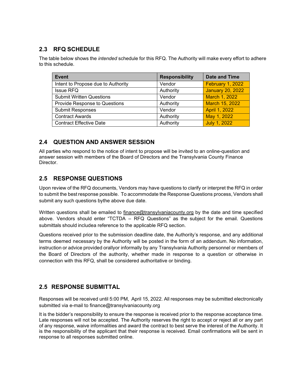## **2.3 RFQ SCHEDULE**

The table below shows the *intended* schedule for this RFQ. The Authority will make every effort to adhere to this schedule.

| <b>Event</b>                       | <b>Responsibility</b> | <b>Date and Time</b>    |
|------------------------------------|-----------------------|-------------------------|
| Intent to Propose due to Authority | Vendor                | <b>February 1, 2022</b> |
| <b>Issue RFQ</b>                   | Authority             | <b>January 20, 2022</b> |
| <b>Submit Written Questions</b>    | Vendor                | March 1, 2022           |
| Provide Response to Questions      | Authority             | March 15, 2022          |
| <b>Submit Responses</b>            | Vendor                | April 1, 2022           |
| <b>Contract Awards</b>             | Authority             | May 1, 2022             |
| <b>Contract Effective Date</b>     | Authority             | <b>July 1, 2022</b>     |

## **2.4 QUESTION AND ANSWER SESSION**

All parties who respond to the notice of intent to propose will be invited to an online-question and answer session with members of the Board of Directors and the Transylvania County Finance Director.

## **2.5 RESPONSE QUESTIONS**

Upon review of the RFQ documents, Vendors may have questions to clarify or interpret the RFQ in order to submit the best response possible. To accommodate the Response Questions process, Vendors shall submit any such questions bythe above due date.

Written questions shall be emailed to finance@transylvaniacounty.org by the date and time specified above. Vendors should enter "TCTDA – RFQ Questions" as the subject for the email. Questions submittals should includea reference to the applicable RFQ section.

Questions received prior to the submission deadline date, the Authority's response, and any additional terms deemed necessary by the Authority will be posted in the form of an addendum. No information, instruction or advice provided orallyor informally by any Transylvania Authority personnel or members of the Board of Directors of the authority, whether made in response to a question or otherwise in connection with this RFQ, shall be considered authoritative or binding.

## **2.5 RESPONSE SUBMITTAL**

Responses will be received until 5:00 PM, April 15, 2022. All responses may be submitted electronically submitted via e-mail to finance@transylvaniacounty.org

It is the bidder's responsibility to ensure the response is received prior to the response acceptance time. Late responses will not be accepted. The Authority reserves the right to accept or reject all or any part of any response, waive informalities and award the contract to best serve the interest of the Authority. It is the responsibility of the applicant that their response is received. Email confirmations will be sent in response to all responses submitted online.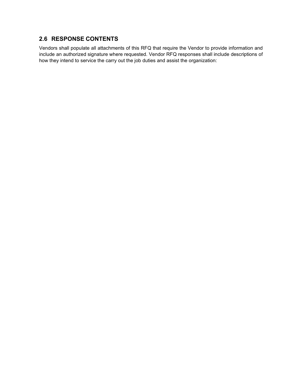## **2.6 RESPONSE CONTENTS**

Vendors shall populate all attachments of this RFQ that require the Vendor to provide information and include an authorized signature where requested. Vendor RFQ responses shall include descriptions of how they intend to service the carry out the job duties and assist the organization: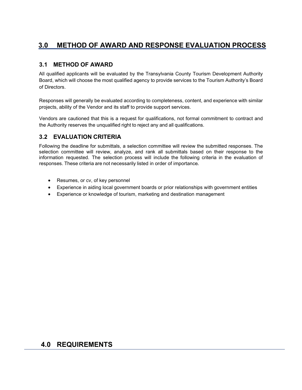## **3.0 METHOD OF AWARD AND RESPONSE EVALUATION PROCESS**

## **3.1 METHOD OF AWARD**

All qualified applicants will be evaluated by the Transylvania County Tourism Development Authority Board, which will choose the most qualified agency to provide services to the Tourism Authority's Board of Directors.

Responses will generally be evaluated according to completeness, content, and experience with similar projects, ability of the Vendor and its staff to provide support services.

Vendors are cautioned that this is a request for qualifications, not formal commitment to contract and the Authority reserves the unqualified right to reject any and all qualifications.

## **3.2 EVALUATION CRITERIA**

Following the deadline for submittals, a selection committee will review the submitted responses. The selection committee will review, analyze, and rank all submittals based on their response to the information requested. The selection process will include the following criteria in the evaluation of responses. These criteria are not necessarily listed in order of importance.

- Resumes, or cv, of key personnel
- Experience in aiding local government boards or prior relationships with government entities
- Experience or knowledge of tourism, marketing and destination management

## **4.0 REQUIREMENTS**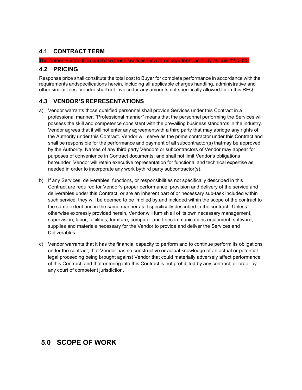## **4.1 CONTRACT TERM**

#### The Authority intends to purchase these services for a three year term, as early as July 1 $\rm ^{st}$ , 2022

### **4.2 PRICING**

Response price shall constitute the total cost to Buyer for complete performance in accordance with the requirements andspecifications herein, including all applicable charges handling, administrative and other similar fees. Vendor shall not invoice for any amounts not specifically allowed for in this RFQ.

## **4.3 VENDOR'S REPRESENTATIONS**

- a) Vendor warrants those qualified personnel shall provide Services under this Contract in a professional manner. "Professional manner" means that the personnel performing the Services will possess the skill and competence consistent with the prevailing business standards in the industry. Vendor agrees that it will not enter any agreementwith a third party that may abridge any rights of the Authority under this Contract. Vendor will serve as the prime contractor under this Contract and shall be responsible for the performance and payment of all subcontractor(s) thatmay be approved by the Authority. Names of any third party Vendors or subcontractors of Vendor may appear for purposes of convenience in Contract documents; and shall not limit Vendor's obligations hereunder. Vendor will retain executive representation for functional and technical expertise as needed in order to incorporate any work bythird party subcontractor(s).
- b) If any Services, deliverables, functions, or responsibilities not specifically described in this Contract are required for Vendor's proper performance, provision and delivery of the service and deliverables under this Contract, or are an inherent part of or necessary sub-task included within such service, they will be deemed to be implied by and included within the scope of the contract to the same extent and in the same manner as if specifically described in the contract. Unless otherwise expressly provided herein, Vendor will furnish all of its own necessary management, supervision, labor, facilities, furniture, computer and telecommunications equipment, software, supplies and materials necessary for the Vendor to provide and deliver the Services and Deliverables.
- c) Vendor warrants that it has the financial capacity to perform and to continue perform its obligations under the contract; that Vendor has no constructive or actual knowledge of an actual or potential legal proceeding being brought against Vendor that could materially adversely affect performance of this Contract; and that entering into this Contract is not prohibited by any contract, or order by any court of competent jurisdiction.

## **5.0 SCOPE OF WORK**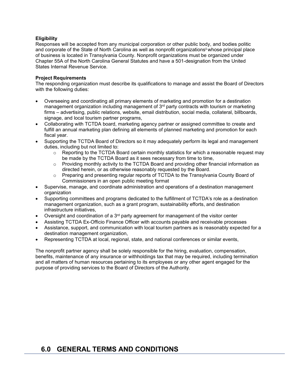#### **Eligibility**

Responses will be accepted from any municipal corporation or other public body, and bodies politic and corporate of the State of North Carolina as well as nonprofit organizations<sup>ii</sup> whose principal place of business is located in Transylvania County. Nonprofit organizations must be organized under Chapter 55A of the North Carolina General Statutes and have a 501-designation from the United States Internal Revenue Service.

#### **Project Requirements**

The responding organization must describe its qualifications to manage and assist the Board of Directors with the following duties:

- Overseeing and coordinating all primary elements of marketing and promotion for a destination management organization including management of  $3<sup>rd</sup>$  party contracts with tourism or marketing firms – advertising, public relations, website, email distribution, social media, collateral, billboards, signage, and local tourism partner programs,
- Collaborating with TCTDA board, marketing agency partner or assigned committee to create and fulfill an annual marketing plan defining all elements of planned marketing and promotion for each fiscal year.
- Supporting the TCTDA Board of Directors so it may adequately perform its legal and management duties, including but not limited to:
	- o Reporting to the TCTDA Board certain monthly statistics for which a reasonable request may be made by the TCTDA Board as it sees necessary from time to time,
	- $\circ$  Providing monthly activity to the TCTDA Board and providing other financial information as directed herein, or as otherwise reasonably requested by the Board.
	- $\circ$  Preparing and presenting regular reports of TCTDA to the Transylvania County Board of Commissioners in an open public meeting format
- Supervise, manage, and coordinate administration and operations of a destination management organization
- Supporting committees and programs dedicated to the fulfillment of TCTDA's role as a destination management organization, such as a grant program, sustainability efforts, and destination infrastructure initiatives,
- Oversight and coordination of a  $3<sup>rd</sup>$  party agreement for management of the visitor center
- Assisting TCTDA Ex-Officio Finance Officer with accounts payable and receivable processes
- Assistance, support, and communication with local tourism partners as is reasonably expected for a destination management organization,
- Representing TCTDA at local, regional, state, and national conferences or similar events,

The nonprofit partner agency shall be solely responsible for the hiring, evaluation, compensation, benefits, maintenance of any insurance or withholdings tax that may be required, including termination and all matters of human resources pertaining to its employees or any other agent engaged for the purpose of providing services to the Board of Directors of the Authority.

## **6.0 GENERAL TERMS AND CONDITIONS**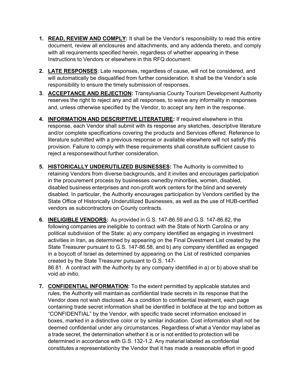- **1. READ, REVIEW AND COMPLY:** It shall be the Vendor's responsibility to read this entire document, review all enclosures and attachments, and any addenda thereto, and comply with all requirements specified herein, regardless of whether appearing in these Instructions to Vendors or elsewhere in this RFQ document.
- **2. LATE RESPONSES**: Late responses, regardless of cause, will not be considered, and will automatically be disqualified from further consideration. It shall be the Vendor's sole responsibility to ensure the timely submission of responses.
- **3. ACCEPTANCE AND REJECTION:** Transylvania County Tourism Development Authority reserves the right to reject any and all responses, to waive any informality in responses and, unless otherwise specified by the Vendor, to accept any item in the response.
- **4. INFORMATION AND DESCRIPTIVE LITERATURE:** If required elsewhere in this response, each Vendor shall submit with its response any sketches, descriptive literature and/or complete specifications covering the products and Services offered. Reference to literature submitted with a previous response or available elsewhere will not satisfy this provision. Failure to comply with these requirements shall constitute sufficient cause to reject a responsewithout further consideration.
- **5. HISTORICALLY UNDERUTILIZED BUSINESSES:** The Authority is committed to retaining Vendors from diverse backgrounds, and it invites and encourages participation in the procurement process by businesses ownedby minorities, women, disabled, disabled business enterprises and non-profit work centers for the blind and severely disabled. In particular, the Authority encourages participation by Vendors certified by the State Office of Historically Underutilized Businesses, as well as the use of HUB-certified vendors as subcontractors on County contracts.
- **6. INELIGIBLE VENDORS:** As provided in G.S. 147-86.59 and G.S. 147-86.82, the following companies are ineligible to contract with the State of North Carolina or any political subdivision of the State: a) any company identified as engaging in investment activities in Iran, as determined by appearing on the Final Divestment List created by the State Treasurer pursuant to G.S. 147-86.58, and b) any company identified as engaged in a boycott of Israel as determined by appearing on the List of restricted companies created by the State Treasurer pursuant to G.S. 147-

86.81. A contract with the Authority by any company identified in a) or b) above shall be void *ab initio*.

**7. CONFIDENTIAL INFORMATION:** To the extent permitted by applicable statutes and rules, the Authority will maintain as confidential trade secrets in its response that the Vendor does not wish disclosed. As a condition to confidential treatment, each page containing trade secret information shall be identified in boldface at the top and bottom as "CONFIDENTIAL" by the Vendor, with specific trade secret information enclosed in boxes, marked in a distinctive color or by similar indication. Cost information shall not be deemed confidential under any circumstances. Regardless of what a Vendor may label as a trade secret, the determination whether it is or is not entitled to protection will be determined in accordance with G.S. 132-1.2. Any material labeled as confidential constitutes a representationby the Vendor that it has made a reasonable effort in good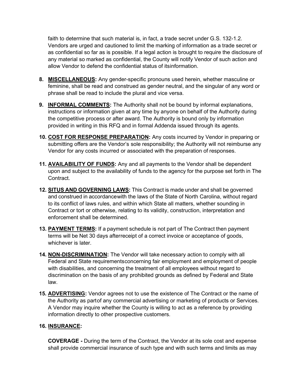faith to determine that such material is, in fact, a trade secret under G.S. 132-1.2. Vendors are urged and cautioned to limit the marking of information as a trade secret or as confidential so far as is possible. If a legal action is brought to require the disclosure of any material so marked as confidential, the County will notify Vendor of such action and allow Vendor to defend the confidential status of itsinformation.

- **8. MISCELLANEOUS:** Any gender-specific pronouns used herein, whether masculine or feminine, shall be read and construed as gender neutral, and the singular of any word or phrase shall be read to include the plural and vice versa.
- **9. INFORMAL COMMENTS:** The Authority shall not be bound by informal explanations, instructions or information given at any time by anyone on behalf of the Authority during the competitive process or after award. The Authority is bound only by information provided in writing in this RFQ and in formal Addenda issued through its agents.
- **10. COST FOR RESPONSE PREPARATION:** Any costs incurred by Vendor in preparing or submitting offers are the Vendor's sole responsibility; the Authority will not reimburse any Vendor for any costs incurred or associated with the preparation of responses.
- **11. AVAILABILITY OF FUNDS:** Any and all payments to the Vendor shall be dependent upon and subject to the availability of funds to the agency for the purpose set forth in The **Contract**
- **12. SITUS AND GOVERNING LAWS:** This Contract is made under and shall be governed and construed in accordancewith the laws of the State of North Carolina, without regard to its conflict of laws rules, and within which State all matters, whether sounding in Contract or tort or otherwise, relating to its validity, construction, interpretation and enforcement shall be determined.
- **13. PAYMENT TERMS:** If a payment schedule is not part of The Contract then payment terms will be Net 30 days afterreceipt of a correct invoice or acceptance of goods, whichever is later.
- **14. NON-DISCRIMINATION:** The Vendor will take necessary action to comply with all Federal and State requirementsconcerning fair employment and employment of people with disabilities, and concerning the treatment of all employees without regard to discrimination on the basis of any prohibited grounds as defined by Federal and State law.
- **15. ADVERTISING:** Vendor agrees not to use the existence of The Contract or the name of the Authority as partof any commercial advertising or marketing of products or Services. A Vendor may inquire whether the County is willing to act as a reference by providing information directly to other prospective customers.

### **16. INSURANCE:**

**COVERAGE -** During the term of the Contract, the Vendor at its sole cost and expense shall provide commercial insurance of such type and with such terms and limits as may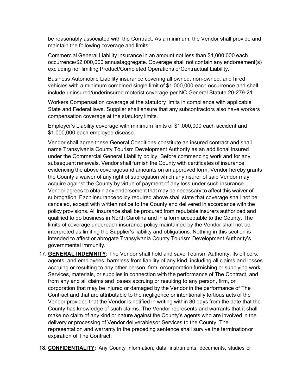be reasonably associated with the Contract. As a minimum, the Vendor shall provide and maintain the following coverage and limits:

Commercial General Liability insurance in an amount not less than \$1,000,000 each occurrence/\$2,000,000 annualaggregate. Coverage shall not contain any endorsement(s) excluding nor limiting Product/Completed Operations orContractual Liability.

Business Automobile Liability insurance covering all owned, non-owned, and hired vehicles with a minimum combined single limit of \$1,000,000 each occurrence and shall include uninsured/underinsured motorist coverage per NC General Statute 20-279-21.

Workers Compensation coverage at the statutory limits in compliance with applicable State and Federal laws. Supplier shall ensure that any subcontractors also have workers compensation coverage at the statutory limits.

Employer's Liability coverage with minimum limits of \$1,000,000 each accident and \$1,000,000 each employee disease.

Vendor shall agree these General Conditions constitute an insured contract and shall name Transylvania County Tourism Development Authority as an additional insured under the Commercial General Liability policy. Before commencing work and for any subsequent renewals, Vendor shall furnish the County with certificates of insurance evidencing the above coveragesand amounts on an approved form. Vendor hereby grants the County a waiver of any right of subrogation which anyinsurer of said Vendor may acquire against the County by virtue of payment of any loss under such insurance. Vendor agrees to obtain any endorsement that may be necessary to affect this waiver of subrogation. Each insurancepolicy required above shall state that coverage shall not be canceled, except with written notice to the County and delivered in accordance with the policy provisions. All insurance shall be procured from reputable insurers authorized and qualified to do business in North Carolina and in a form acceptable to the County. The limits of coverage undereach insurance policy maintained by the Vendor shall not be interpreted as limiting the Supplier's liability and obligations. Nothing in this section is intended to affect or abrogate Transylvania County Tourism Development Authority's governmental immunity.

- 17. **GENERAL INDEMNITY:** The Vendor shall hold and save Tourism Authority, its officers, agents, and employees, harmless from liability of any kind, including all claims and losses accruing or resulting to any other person, firm, orcorporation furnishing or supplying work, Services, materials, or supplies in connection with the performance of The Contract, and from any and all claims and losses accruing or resulting to any person, firm, or corporation that may be injured or damaged by the Vendor in the performance of The Contract and that are attributable to the negligence or intentionally tortious acts of the Vendor provided that the Vendor is notified in writing within 30 days from the date that the County has knowledge of such claims. The Vendor represents and warrants that it shall make no claim of any kind or nature against the County's agents who are involved in the delivery or processing of Vendor deliverablesor Services to the County. The representation and warranty in the preceding sentence shall survive the terminationor expiration of The Contract.
- **18. CONFIDENTIALITY:** Any County information, data, instruments, documents, studies or